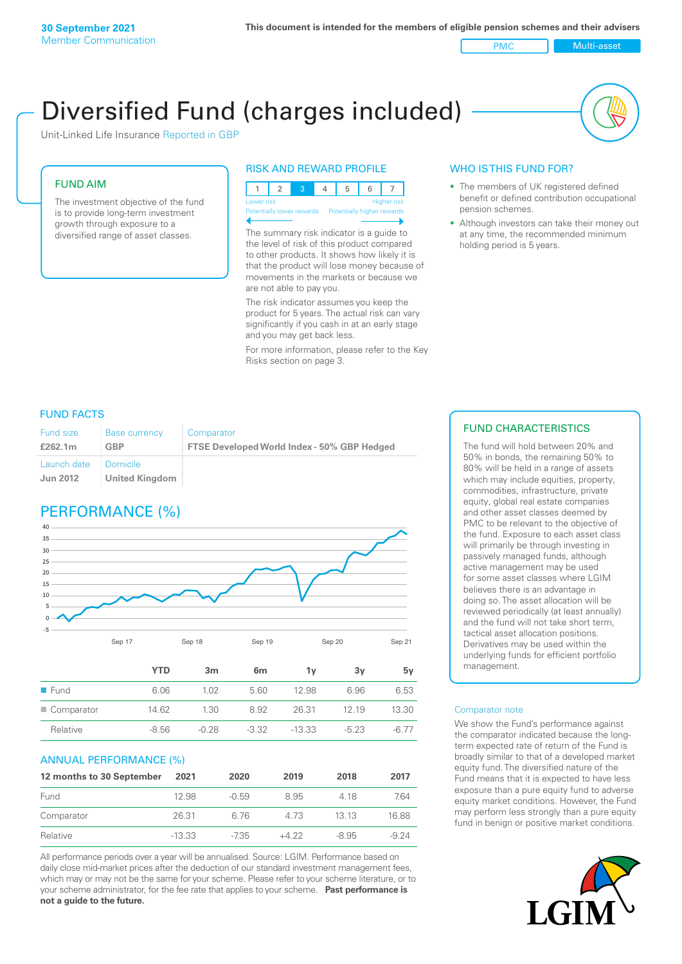PMC Multi-asset

# Diversified Fund (charges included)

Unit-Linked Life Insurance Reported in GBP

### FUND AIM

The investment objective of the fund is to provide long-term investment growth through exposure to a diversified range of asset classes.

### RISK AND REWARD PROFILE

1 2 3 4 5 6 7 **High** Potentially higher rewards

The summary risk indicator is a guide to the level of risk of this product compared to other products. It shows how likely it is that the product will lose money because of movements in the markets or because we are not able to pay you.

The risk indicator assumes you keep the product for 5 years. The actual risk can vary significantly if you cash in at an early stage and you may get back less.

For more information, please refer to the Key Risks section on page 3.

### WHO IS THIS FUND FOR?

- The members of UK registered defined benefit or defined contribution occupational pension schemes.
- Although investors can take their money out at any time, the recommended minimum holding period is 5 years.

### FUND FACTS

| <b>Fund size</b><br>£262.1m | <b>Base currency</b><br><b>GBP</b> | Comparator<br>FTSE Developed World Index - 50% GBP Hedged |
|-----------------------------|------------------------------------|-----------------------------------------------------------|
| Launch date                 | - Domicile                         |                                                           |
| <b>Jun 2012</b>             | United Kingdom                     |                                                           |

## PERFORMANCE (%)



|                     | YTD     | 3m      | 6 <sub>m</sub> | ΊV       | 3v     | 5۷     |
|---------------------|---------|---------|----------------|----------|--------|--------|
| $\blacksquare$ Fund | 6.06    | 1.02    | 5.60           | 12.98    | 6.96   | 6.53   |
| Comparator          | 14.62   | 1.30    | 8.92           | 26.31    | 12 19  | 13.30  |
| Relative            | $-8.56$ | $-0.28$ | $-3.32$        | $-13.33$ | $-523$ | $-677$ |
|                     |         |         |                |          |        |        |

#### ANNUAL PERFORMANCE (%)

| 12 months to 30 September | 2021     | 2020    | 2019   | 2018    | 2017    |
|---------------------------|----------|---------|--------|---------|---------|
| Fund                      | 12.98    | $-0.59$ | 8.95   | 4 18    | 7.64    |
| Comparator                | 26.31    | 6.76    | 4 73   | 13 13   | 16.88   |
| Relative                  | $-13.33$ | $-735$  | $+422$ | $-8.95$ | $-9.24$ |

All performance periods over a year will be annualised. Source: LGIM. Performance based on daily close mid-market prices after the deduction of our standard investment management fees, which may or may not be the same for your scheme. Please refer to your scheme literature, or to your scheme administrator, for the fee rate that applies to your scheme. **Past performance is not a guide to the future.**

### FUND CHARACTERISTICS

The fund will hold between 20% and 50% in bonds, the remaining 50% to 80% will be held in a range of assets which may include equities, property, commodities, infrastructure, private equity, global real estate companies and other asset classes deemed by PMC to be relevant to the objective of the fund. Exposure to each asset class will primarily be through investing in passively managed funds, although active management may be used for some asset classes where LGIM believes there is an advantage in doing so. The asset allocation will be reviewed periodically (at least annually) and the fund will not take short term, tactical asset allocation positions. Derivatives may be used within the underlying funds for efficient portfolio management.

#### Comparator note

We show the Fund's performance against the comparator indicated because the longterm expected rate of return of the Fund is broadly similar to that of a developed market equity fund. The diversified nature of the Fund means that it is expected to have less exposure than a pure equity fund to adverse equity market conditions. However, the Fund may perform less strongly than a pure equity fund in benign or positive market conditions.

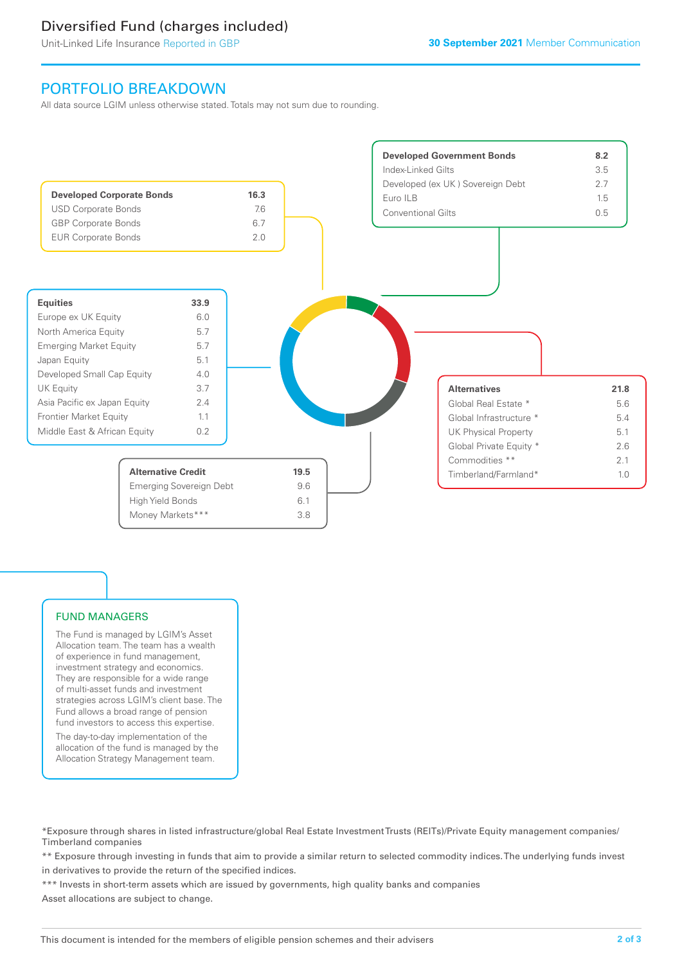# Diversified Fund (charges included)

Unit-Linked Life Insurance Reported in GBP

### PORTFOLIO BREAKDOWN

All data source LGIM unless otherwise stated. Totals may not sum due to rounding.



### FUND MANAGERS

The Fund is managed by LGIM's Asset Allocation team. The team has a wealth of experience in fund management, investment strategy and economics. They are responsible for a wide range of multi-asset funds and investment strategies across LGIM's client base. The Fund allows a broad range of pension fund investors to access this expertise.

The day-to-day implementation of the allocation of the fund is managed by the Allocation Strategy Management team.

\*Exposure through shares in listed infrastructure/global Real Estate Investment Trusts (REITs)/Private Equity management companies/ Timberland companies

\*\* Exposure through investing in funds that aim to provide a similar return to selected commodity indices. The underlying funds invest in derivatives to provide the return of the specified indices.

\*\*\* Invests in short-term assets which are issued by governments, high quality banks and companies Asset allocations are subject to change.